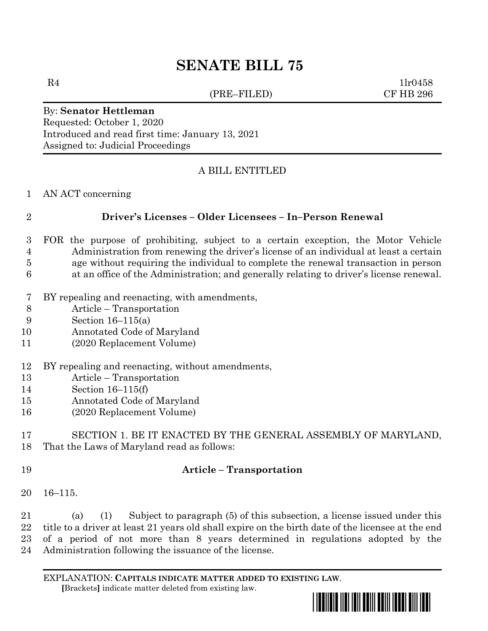# **SENATE BILL 75**

(PRE–FILED) CF HB 296

 $R4$  1lr0458

#### By: **Senator Hettleman** Requested: October 1, 2020 Introduced and read first time: January 13, 2021 Assigned to: Judicial Proceedings

## A BILL ENTITLED

#### AN ACT concerning

#### **Driver's Licenses – Older Licensees – In–Person Renewal**

- FOR the purpose of prohibiting, subject to a certain exception, the Motor Vehicle Administration from renewing the driver's license of an individual at least a certain age without requiring the individual to complete the renewal transaction in person
- at an office of the Administration; and generally relating to driver's license renewal.
- BY repealing and reenacting, with amendments,
- Article Transportation
- Section 16–115(a)
- Annotated Code of Maryland
- (2020 Replacement Volume)
- BY repealing and reenacting, without amendments,
- Article Transportation
- Section 16–115(f)
- Annotated Code of Maryland
- (2020 Replacement Volume)

#### SECTION 1. BE IT ENACTED BY THE GENERAL ASSEMBLY OF MARYLAND, That the Laws of Maryland read as follows:

#### **Article – Transportation**

16–115.

 (a) (1) Subject to paragraph (5) of this subsection, a license issued under this title to a driver at least 21 years old shall expire on the birth date of the licensee at the end of a period of not more than 8 years determined in regulations adopted by the Administration following the issuance of the license.

EXPLANATION: **CAPITALS INDICATE MATTER ADDED TO EXISTING LAW**.  **[**Brackets**]** indicate matter deleted from existing law.

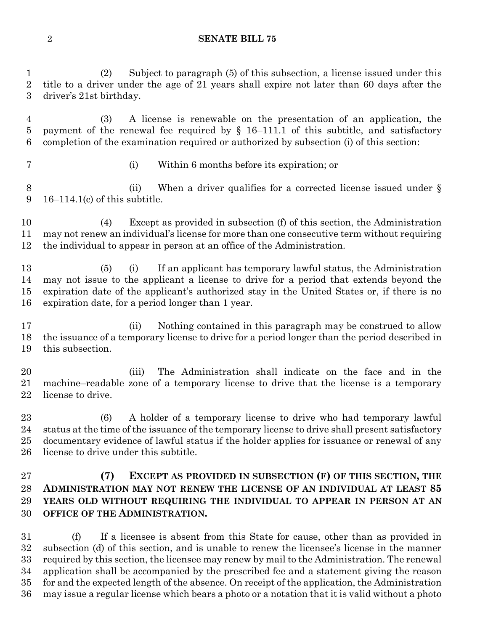#### **SENATE BILL 75**

 (2) Subject to paragraph (5) of this subsection, a license issued under this title to a driver under the age of 21 years shall expire not later than 60 days after the driver's 21st birthday.

 (3) A license is renewable on the presentation of an application, the payment of the renewal fee required by § 16–111.1 of this subtitle, and satisfactory completion of the examination required or authorized by subsection (i) of this section:

- 
- (i) Within 6 months before its expiration; or

8 (ii) When a driver qualifies for a corrected license issued under § 16–114.1(c) of this subtitle.

 (4) Except as provided in subsection (f) of this section, the Administration may not renew an individual's license for more than one consecutive term without requiring the individual to appear in person at an office of the Administration.

 (5) (i) If an applicant has temporary lawful status, the Administration may not issue to the applicant a license to drive for a period that extends beyond the expiration date of the applicant's authorized stay in the United States or, if there is no expiration date, for a period longer than 1 year.

17 (ii) Nothing contained in this paragraph may be construed to allow the issuance of a temporary license to drive for a period longer than the period described in this subsection.

 (iii) The Administration shall indicate on the face and in the machine–readable zone of a temporary license to drive that the license is a temporary license to drive.

 (6) A holder of a temporary license to drive who had temporary lawful status at the time of the issuance of the temporary license to drive shall present satisfactory documentary evidence of lawful status if the holder applies for issuance or renewal of any license to drive under this subtitle.

### **(7) EXCEPT AS PROVIDED IN SUBSECTION (F) OF THIS SECTION, THE ADMINISTRATION MAY NOT RENEW THE LICENSE OF AN INDIVIDUAL AT LEAST 85 YEARS OLD WITHOUT REQUIRING THE INDIVIDUAL TO APPEAR IN PERSON AT AN OFFICE OF THE ADMINISTRATION.**

 (f) If a licensee is absent from this State for cause, other than as provided in subsection (d) of this section, and is unable to renew the licensee's license in the manner required by this section, the licensee may renew by mail to the Administration. The renewal application shall be accompanied by the prescribed fee and a statement giving the reason for and the expected length of the absence. On receipt of the application, the Administration may issue a regular license which bears a photo or a notation that it is valid without a photo